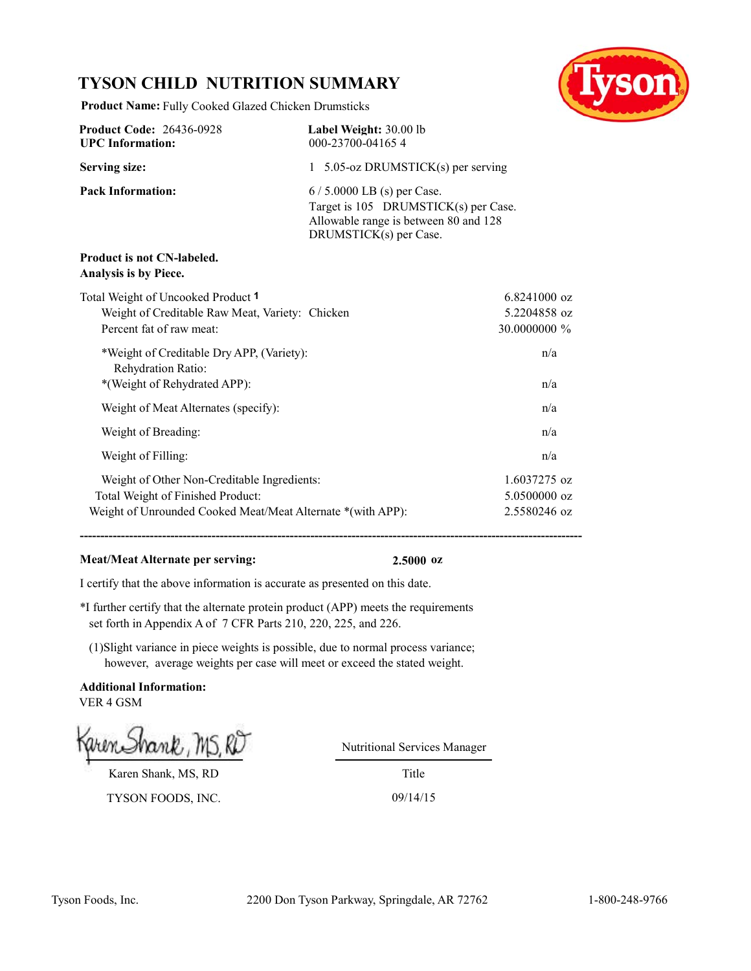# **TYSON CHILD NUTRITION SUMMARY**

**Product Name:** Fully Cooked Glazed Chicken Drumsticks



| <b>Product Code: 26436-0928</b><br><b>UPC</b> Information:                                                                                      | Label Weight: 30.00 lb<br>000-23700-041654                                                                                             |                                                |
|-------------------------------------------------------------------------------------------------------------------------------------------------|----------------------------------------------------------------------------------------------------------------------------------------|------------------------------------------------|
| <b>Serving size:</b>                                                                                                                            | 1 5.05-oz DRUMSTICK(s) per serving                                                                                                     |                                                |
| <b>Pack Information:</b>                                                                                                                        | $6/5.0000$ LB (s) per Case.<br>Target is 105 DRUMSTICK(s) per Case.<br>Allowable range is between 80 and 128<br>DRUMSTICK(s) per Case. |                                                |
| <b>Product is not CN-labeled.</b><br>Analysis is by Piece.                                                                                      |                                                                                                                                        |                                                |
| Total Weight of Uncooked Product 1<br>Weight of Creditable Raw Meat, Variety: Chicken<br>Percent fat of raw meat:                               |                                                                                                                                        | $6.8241000$ oz<br>5.2204858 oz<br>30.0000000 % |
| *Weight of Creditable Dry APP, (Variety):<br>Rehydration Ratio:<br>*(Weight of Rehydrated APP):                                                 |                                                                                                                                        | n/a<br>n/a                                     |
| Weight of Meat Alternates (specify):                                                                                                            |                                                                                                                                        | n/a                                            |
| Weight of Breading:                                                                                                                             |                                                                                                                                        | n/a                                            |
| Weight of Filling:                                                                                                                              |                                                                                                                                        | n/a                                            |
| Weight of Other Non-Creditable Ingredients:<br>Total Weight of Finished Product:<br>Weight of Unrounded Cooked Meat/Meat Alternate *(with APP): |                                                                                                                                        | 1.6037275 oz<br>5.0500000 oz<br>2.5580246 oz   |

**--------------------------------------------------------------------------------------------------------------------------**

# **Meat/Meat Alternate per serving: 2.5000 oz**

I certify that the above information is accurate as presented on this date.

\*I further certify that the alternate protein product (APP) meets the requirements set forth in Appendix A of 7 CFR Parts 210, 220, 225, and 226.

(1)Slight variance in piece weights is possible, due to normal process variance; however, average weights per case will meet or exceed the stated weight.

**Additional Information:** VER 4 GSM

Karen Shank, MS, RD TYSON FOODS, INC. 09/14/15

Nutritional Services Manager

Title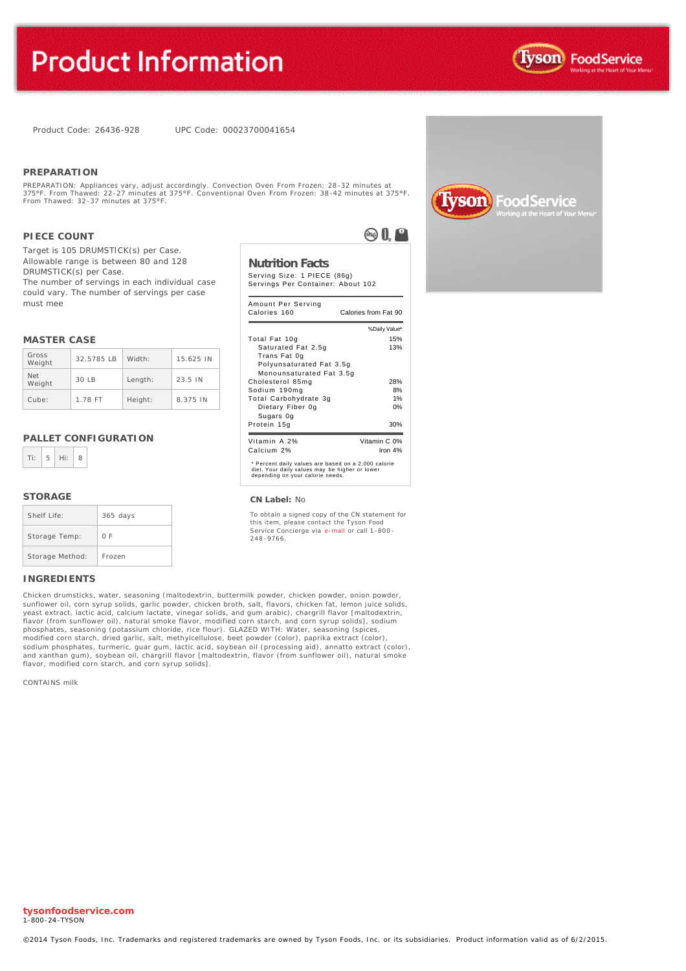Product Code: 26436-928 UPC Code: 00023700041654

### **PREPARATION**

PREPARATION: Appliances vary, adjust accordingly. Convection Oven From Frozen: 28-32 minutes at<br>375°F. From Thawed: 22-27 minutes at 375°F. Conventional Oven From Frozen: 38-42 minutes at 375°F.<br>From Thawed: 32-37 minutes

### **PIECE COUNT**

Target is 105 DRUMSTICK(s) per Case. Allowable range is between 80 and 128 DRUMSTICK(s) per Case. The number of servings in each individual case could vary. The number of servings per case must mee

### **MASTER CASE**

| Gross<br>Weight      | 32.5785 IB | Width:  | 15.625 IN |
|----------------------|------------|---------|-----------|
| <b>Net</b><br>Weight | 30IB       | Length: | 23.5 IN   |
| Cube:                | 1.78 FT    | Height: | 8.375 IN  |

### **PALLET CONFIGURATION**



### **STORAGE**

| Shelf Life:     | $365$ days |
|-----------------|------------|
| Storage Temp:   | 0 F        |
| Storage Method: | Frozen     |

### **INGREDIENTS**

Chicken drumsticks, water, seasoning (maltodextrin, buttermilk powder, chicken powder, onion powder, sunflower oil, corn syrup solids, garlic powder, chicken broth, salt, flavors, chicken fat, lemon juice solids, yeast extract, lactic acid, calcium lactate, vinegar solids, and gum arabic), chargrill flavor [maltodextrin, flavor (from sunflower oil), natural smoke flavor, modified corn starch, and corn syrup solids], sodium phosphates, seasoning (potassium chloride, rice flour). GLAZED WITH: Water, seasoning (spices,<br>modified corn starch, dried garlic, salt, methylcellulose, beet powder (color), paprika extract (color), sodium phosphates, turmeric, guar gum, lactic acid, soybean oil (processing aid), annatto extract (color), and xanthan gum), soybean oil, chargrill flavor [maltodextrin, flavor (from sunflower oil), natural smoke flavor, modified corn starch, and corn syrup solids].

CONTAINS milk

**ASO** 0.0

# **Nutrition Facts**

Serving Size: 1 PIECE (86g) Servings Per Container: About 102

| Amount Per Serving<br>Calories 160                                                                                                        | Calories from Fat 90 |
|-------------------------------------------------------------------------------------------------------------------------------------------|----------------------|
|                                                                                                                                           | % Daily Value*       |
| Total Fat 10g                                                                                                                             | 15%                  |
| Saturated Fat 2.5g<br>Trans Fat 0g                                                                                                        | 13%                  |
| Polyunsaturated Fat 3.5q<br>Monounsaturated Fat 3.5q                                                                                      |                      |
| Cholesterol 85mg                                                                                                                          | 28%                  |
| Sodium 190mg                                                                                                                              | 8%                   |
| Total Carbohydrate 3g                                                                                                                     | 1%                   |
| Dietary Fiber 0g<br>Sugars Og                                                                                                             | 0%                   |
| Protein 15g                                                                                                                               | 30%                  |
| Vitamin A 2%                                                                                                                              | Vitamin C 0%         |
| Calcium 2%                                                                                                                                | Iron $4%$            |
| * Percent daily values are based on a 2,000 calorie<br>diet. Your daily values may be higher or lower<br>depending on your calorie needs. |                      |

### **CN Label:** No

To obtain a signed copy of the CN statement for this item, please contact the Tyson Food Service Concierge via [e-mail](mailto:fscomments@tyson.com) or call 1-800 - 248 -9766.



**tysonfoodservice.com**  1-800-24-TYSON

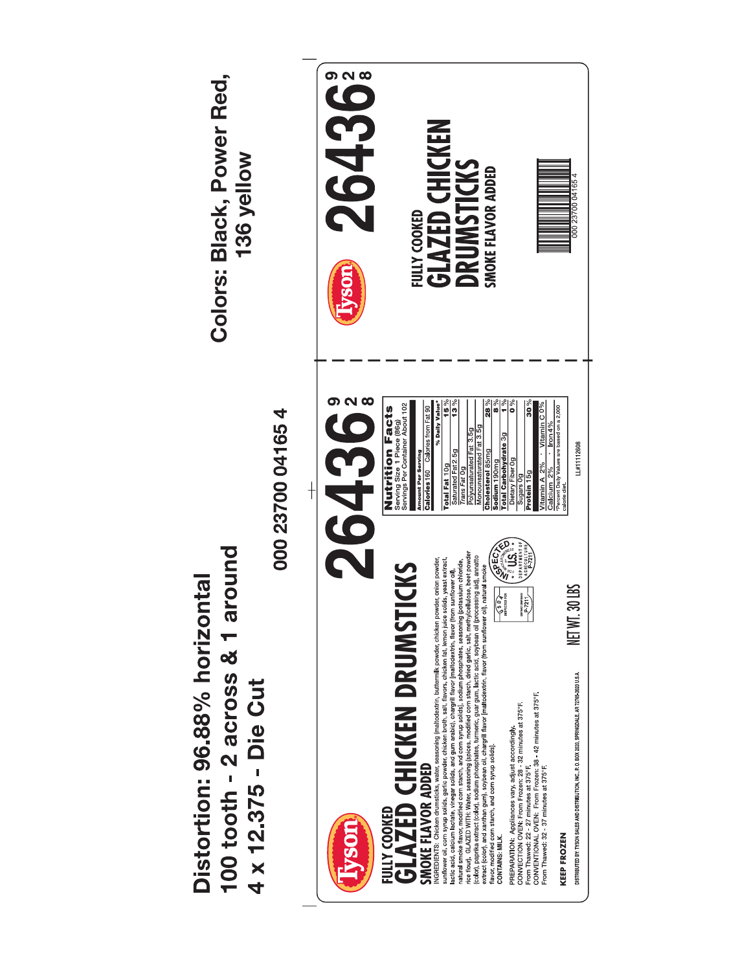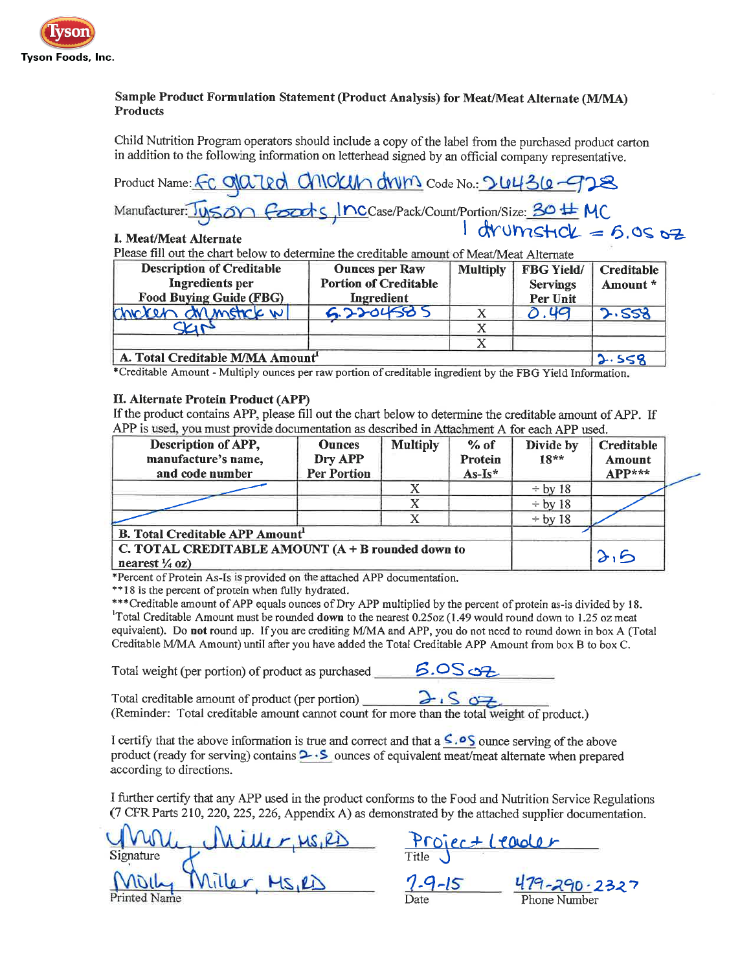

# Sample Product Formulation Statement (Product Analysis) for Meat/Meat Alternate (M/MA) **Products**

Child Nutrition Program operators should include a copy of the label from the purchased product carton in addition to the following information on letterhead signed by an official company representative.

Product Name: FC 01 a 2 PICKIN drum Code No.: 2 4436-928 Manufacturer: Tyson foods, Inccase/Pack/Count/Portion/Size: 30 # MC

# I. Meat/Meat Alternate

Please fill out the chart below to determine the creditable amount of Meat/Meat Alternate

| <b>Description of Creditable</b>             | <b>Ounces per Raw</b>        | <b>Multiply</b><br><b>FBG Yield/</b> |                 | Creditable |  |
|----------------------------------------------|------------------------------|--------------------------------------|-----------------|------------|--|
| Ingredients per                              | <b>Portion of Creditable</b> |                                      | <b>Servings</b> | Amount *   |  |
| <b>Food Buying Guide (FBG)</b>               | Ingredient                   |                                      | Per Unit        |            |  |
| Chicken drumstick w                          | 5.2204585                    |                                      | <b>U</b> Q      | 2.558      |  |
|                                              |                              |                                      |                 |            |  |
|                                              |                              |                                      |                 |            |  |
| A. Total Creditable M/MA Amount <sup>1</sup> |                              |                                      |                 | 2.558      |  |

\*Creditable Amount - Multiply ounces per raw portion of creditable ingredient by the FBG Yield Information.

# II. Alternate Protein Product (APP)

If the product contains APP, please fill out the chart below to determine the creditable amount of APP. If APP is used, you must provide documentation as described in Attachment A for each APP used.

| Description of APP,<br>manufacture's name,<br>and code number                    | <b>Ounces</b><br>Dry APP<br><b>Per Portion</b> | <b>Multiply</b> | $%$ of<br>Protein<br>$As-Is*$ | Divide by<br>$18**$ | Creditable<br>Amount<br>$APP***$ |  |
|----------------------------------------------------------------------------------|------------------------------------------------|-----------------|-------------------------------|---------------------|----------------------------------|--|
|                                                                                  |                                                |                 |                               | $-$ by 18           |                                  |  |
|                                                                                  |                                                |                 |                               | $\div$ by 18        |                                  |  |
|                                                                                  |                                                |                 |                               | $\div$ by 18        |                                  |  |
| <b>B. Total Creditable APP Amount'</b>                                           |                                                |                 |                               |                     |                                  |  |
| C. TOTAL CREDITABLE AMOUNT $(A + B$ rounded down to<br>nearest $\frac{1}{4}$ oz) |                                                |                 |                               | $\lambda_1$ B       |                                  |  |

\*Percent of Protein As-Is is provided on the attached APP documentation.

\*\*18 is the percent of protein when fully hydrated.

\*\*\*Creditable amount of APP equals ounces of Dry APP multiplied by the percent of protein as-is divided by 18. <sup>1</sup>Total Creditable Amount must be rounded down to the nearest 0.25oz (1.49 would round down to 1.25 oz meat equivalent). Do not round up. If you are crediting M/MA and APP, you do not need to round down in box A (Total Creditable M/MA Amount) until after you have added the Total Creditable APP Amount from box B to box C.

Total weight (per portion) of product as purchased  $\sim$  5.05  $\rightarrow$ 

Total creditable amount of product (per portion)  $2.507$ (Reminder: Total creditable amount cannot count for more than the total weight of product.)

I certify that the above information is true and correct and that a  $\leq$ .  $\circ$ S ounce serving of the above product (ready for serving) contains  $\sim$  S ounces of equivalent meat/meat alternate when prepared according to directions.

I further certify that any APP used in the product conforms to the Food and Nutrition Service Regulations (7 CFR Parts 210, 220, 225, 226, Appendix A) as demonstrated by the attached supplier documentation.

Miller, Ms, RD Project Leader Signature Printed Name